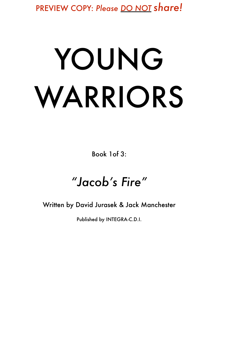PREVIEW COPY: *Please DO NOT share!*

# YOUNG WARRIORS

Book 1of 3:

### *"Jacob's Fire"*

Written by David Jurasek & Jack Manchester

Published by INTEGRA-C.D.I.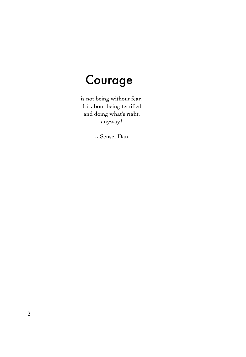### Courage

 is not being without fear. It's about being terrified and doing what's right, anyway!

~ Sensei Dan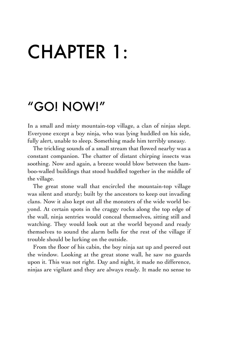# CHAPTER 1:

### "GO! NOW!"

In a small and misty mountain-top village, a clan of ninjas slept. Everyone except a boy ninja, who was lying huddled on his side, fully alert, unable to sleep. Something made him terribly uneasy.

The trickling sounds of a small stream that flowed nearby was a constant companion. The chatter of distant chirping insects was soothing. Now and again, a breeze would blow between the bamboo-walled buildings that stood huddled together in the middle of the village.

The great stone wall that encircled the mountain-top village was silent and sturdy; built by the ancestors to keep out invading clans. Now it also kept out all the monsters of the wide world beyond. At certain spots in the craggy rocks along the top edge of the wall, ninja sentries would conceal themselves, sitting still and watching. They would look out at the world beyond and ready themselves to sound the alarm bells for the rest of the village if trouble should be lurking on the outside.

From the floor of his cabin, the boy ninja sat up and peered out the window. Looking at the great stone wall, he saw no guards upon it. This was not right. Day and night, it made no difference, ninjas are vigilant and they are always ready. It made no sense to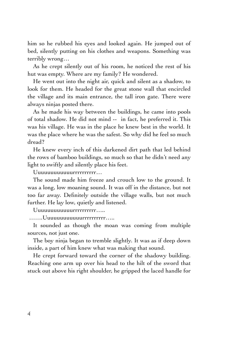him so he rubbed his eyes and looked again. He jumped out of bed, silently putting on his clothes and weapons. Something was terribly wrong…

As he crept silently out of his room, he noticed the rest of his hut was empty. Where are my family? He wondered.

He went out into the night air, quick and silent as a shadow, to look for them. He headed for the great stone wall that encircled the village and its main entrance, the tall iron gate. There were always ninjas posted there.

As he made his way between the buildings, he came into pools of total shadow. He did not mind -- in fact, he preferred it. This was his village. He was in the place he knew best in the world. It was the place where he was the safest. So why did he feel so much dread?

He knew every inch of this darkened dirt path that led behind the rows of bamboo buildings, so much so that he didn't need any light to swiftly and silently place his feet.

Uuuuuuuuuuuurrrrrrrrrr…

The sound made him freeze and crouch low to the ground. It was a long, low moaning sound. It was off in the distance, but not too far away. Definitely outside the village walls, but not much further. He lay low, quietly and listened.

Uuuuuuuuuuuurrrrrrrrrr…..

…….Uuuuuuuuuuuurrrrrrrrrr…..

It sounded as though the moan was coming from multiple sources, not just one.

The boy ninja began to tremble slightly. It was as if deep down inside, a part of him knew what was making that sound.

He crept forward toward the corner of the shadowy building. Reaching one arm up over his head to the hilt of the sword that stuck out above his right shoulder, he gripped the laced handle for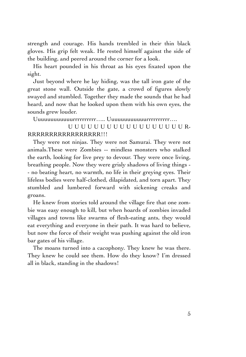strength and courage. His hands trembled in their thin black gloves. His grip felt weak. He rested himself against the side of the building, and peered around the corner for a look.

His heart pounded in his throat as his eyes fixated upon the sight.

Just beyond where he lay hiding, was the tall iron gate of the great stone wall. Outside the gate, a crowd of figures slowly swayed and stumbled. Together they made the sounds that he had heard, and now that he looked upon them with his own eyes, the sounds grew louder.

Uuuuuuuuuuuurrrrrrrrrr….. Uuuuuuuuuuuurrrrrrrrrr….

#### UUUUUUUUUUUUUUUUUUR-RRRRRRRRRRRRRRRRR!!!

They were not ninjas. They were not Samurai. They were not animals.These were Zombies -- mindless monsters who stalked the earth, looking for live prey to devour. They were once living, breathing people. Now they were grisly shadows of living things - - no beating heart, no warmth, no life in their greying eyes. Their lifeless bodies were half-clothed, dilapidated, and torn apart. They stumbled and lumbered forward with sickening creaks and groans.

He knew from stories told around the village fire that one zombie was easy enough to kill, but when hoards of zombies invaded villages and towns like swarms of flesh-eating ants, they would eat everything and everyone in their path. It was hard to believe, but now the force of their weight was pushing against the old iron bar gates of his village.

The moans turned into a cacophony. They knew he was there. They knew he could see them. How do they know? I'm dressed all in black, standing in the shadows!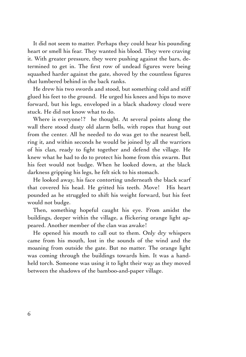It did not seem to matter. Perhaps they could hear his pounding heart or smell his fear. They wanted his blood. They were craving it. With greater pressure, they were pushing against the bars, determined to get in. The first row of undead figures were being squashed harder against the gate, shoved by the countless figures that lumbered behind in the back ranks.

He drew his two swords and stood, but something cold and stiff glued his feet to the ground. He urged his knees and hips to move forward, but his legs, enveloped in a black shadowy cloud were stuck. He did not know what to do.

Where is everyone!? he thought. At several points along the wall there stood dusty old alarm bells, with ropes that hung out from the center. All he needed to do was get to the nearest bell, ring it, and within seconds he would be joined by all the warriors of his clan, ready to fight together and defend the village. He knew what he had to do to protect his home from this swarm. But his feet would not budge. When he looked down, at the black darkness gripping his legs, he felt sick to his stomach.

He looked away, his face contorting underneath the black scarf that covered his head. He gritted his teeth. Move! His heart pounded as he struggled to shift his weight forward, but his feet would not budge.

Then, something hopeful caught his eye. From amidst the buildings, deeper within the village, a flickering orange light appeared. Another member of the clan was awake!

He opened his mouth to call out to them. Only dry whispers came from his mouth, lost in the sounds of the wind and the moaning from outside the gate. But no matter. The orange light was coming through the buildings towards him. It was a handheld torch. Someone was using it to light their way as they moved between the shadows of the bamboo-and-paper village.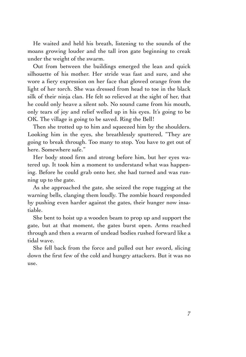He waited and held his breath, listening to the sounds of the moans growing louder and the tall iron gate beginning to creak under the weight of the swarm.

Out from between the buildings emerged the lean and quick silhouette of his mother. Her stride was fast and sure, and she wore a fiery expression on her face that glowed orange from the light of her torch. She was dressed from head to toe in the black silk of their ninja clan. He felt so relieved at the sight of her, that he could only heave a silent sob. No sound came from his mouth, only tears of joy and relief welled up in his eyes. It's going to be OK. The village is going to be saved. Ring the Bell!

Then she trotted up to him and squeezed him by the shoulders. Looking him in the eyes, she breathlessly sputtered, "They are going to break through. Too many to stop. You have to get out of here. Somewhere safe."

Her body stood firm and strong before him, but her eyes watered up. It took him a moment to understand what was happening. Before he could grab onto her, she had turned and was running up to the gate.

As she approached the gate, she seized the rope tugging at the warning bells, clanging them loudly. The zombie hoard responded by pushing even harder against the gates, their hunger now insatiable.

She bent to hoist up a wooden beam to prop up and support the gate, but at that moment, the gates burst open. Arms reached through and then a swarm of undead bodies rushed forward like a tidal wave.

She fell back from the force and pulled out her sword, slicing down the first few of the cold and hungry attackers. But it was no use.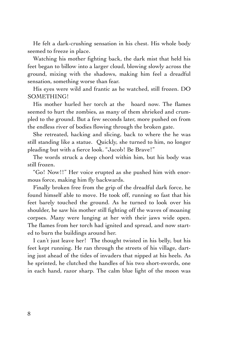He felt a dark-crushing sensation in his chest. His whole body seemed to freeze in place.

Watching his mother fighting back, the dark mist that held his feet began to billow into a larger cloud, blowing slowly across the ground, mixing with the shadows, making him feel a dreadful sensation, something worse than fear.

His eyes were wild and frantic as he watched, still frozen. DO SOMETHING!

His mother hurled her torch at the hoard now. The flames seemed to hurt the zombies, as many of them shrieked and crumpled to the ground. But a few seconds later, more pushed on from the endless river of bodies flowing through the broken gate.

She retreated, hacking and slicing, back to where the he was still standing like a statue. Quickly, she turned to him, no longer pleading but with a fierce look. "Jacob! Be Brave!"

The words struck a deep chord within him, but his body was still frozen.

"Go! Now!!" Her voice erupted as she pushed him with enormous force, making him fly backwards.

Finally broken free from the grip of the dreadful dark force, he found himself able to move. He took off, running so fast that his feet barely touched the ground. As he turned to look over his shoulder, he saw his mother still fighting off the waves of moaning corpses. Many were lunging at her with their jaws wide open. The flames from her torch had ignited and spread, and now started to burn the buildings around her.

I can't just leave her! The thought twisted in his belly, but his feet kept running. He ran through the streets of his village, darting just ahead of the tides of invaders that nipped at his heels. As he sprinted, he clutched the handles of his two short-swords, one in each hand, razor sharp. The calm blue light of the moon was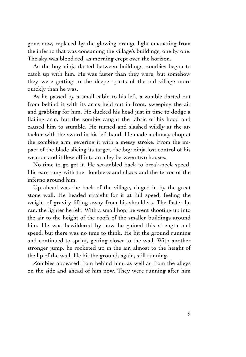gone now, replaced by the glowing orange light emanating from the inferno that was consuming the village's buildings, one by one. The sky was blood red, as morning crept over the horizon.

As the boy ninja darted between buildings, zombies began to catch up with him. He was faster than they were, but somehow they were getting to the deeper parts of the old village more quickly than he was.

As he passed by a small cabin to his left, a zombie darted out from behind it with its arms held out in front, sweeping the air and grabbing for him. He ducked his head just in time to dodge a flailing arm, but the zombie caught the fabric of his hood and caused him to stumble. He turned and slashed wildly at the attacker with the sword in his left hand. He made a clumsy chop at the zombie's arm, severing it with a messy stroke. From the impact of the blade slicing its target, the boy ninja lost control of his weapon and it flew off into an alley between two houses.

No time to go get it. He scrambled back to break-neck speed. His ears rang with the loudness and chaos and the terror of the inferno around him.

Up ahead was the back of the village, ringed in by the great stone wall. He headed straight for it at full speed, feeling the weight of gravity lifting away from his shoulders. The faster he ran, the lighter he felt. With a small hop, he went shooting up into the air to the height of the roofs of the smaller buildings around him. He was bewildered by how he gained this strength and speed, but there was no time to think. He hit the ground running and continued to sprint, getting closer to the wall. With another stronger jump, he rocketed up in the air, almost to the height of the lip of the wall. He hit the ground, again, still running.

Zombies appeared from behind him, as well as from the alleys on the side and ahead of him now. They were running after him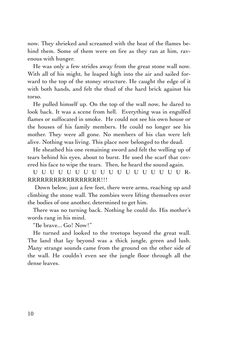now. They shrieked and screamed with the heat of the flames behind them. Some of them were on fire as they ran at him, ravenous with hunger.

He was only a few strides away from the great stone wall now. With all of his might, he leaped high into the air and sailed forward to the top of the stoney structure. He caught the edge of it with both hands, and felt the thud of the hard brick against his torso.

He pulled himself up. On the top of the wall now, he dared to look back. It was a scene from hell. Everything was in engulfed flames or suffocated in smoke. He could not see his own house or the houses of his family members. He could no longer see his mother. They were all gone. No members of his clan were left alive. Nothing was living. This place now belonged to the dead.

He sheathed his one remaining sword and felt the welling up of tears behind his eyes, about to burst. He used the scarf that covered his face to wipe the tears. Then, he heard the sound again.

UUUUUUUUUUUUUUUUUUR-RRRRRRRRRRRRRRRRR!!!

 Down below, just a few feet, there were arms, reaching up and climbing the stone wall. The zombies were lifting themselves over the bodies of one another, determined to get him.

There was no turning back. Nothing he could do. His mother's words rang in his mind.

"Be brave... Go! Now!"

He turned and looked to the treetops beyond the great wall. The land that lay beyond was a thick jungle, green and lush. Many strange sounds came from the ground on the other side of the wall. He couldn't even see the jungle floor through all the dense leaves.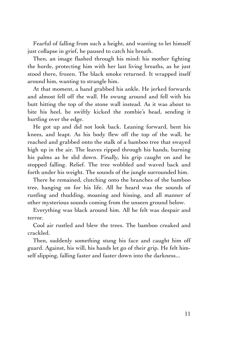Fearful of falling from such a height, and wanting to let himself just collapse in grief, he paused to catch his breath.

Then, an image flashed through his mind: his mother fighting the horde, protecting him with her last living breaths, as he just stood there, frozen. The black smoke returned. It wrapped itself around him, wanting to strangle him.

At that moment, a hand grabbed his ankle. He jerked forwards and almost fell off the wall. He swung around and fell with his butt hitting the top of the stone wall instead. As it was about to bite his heel, he swiftly kicked the zombie's head, sending it hurtling over the edge.

He got up and did not look back. Leaning forward, bent his knees, and leapt. As his body flew off the top of the wall, he reached and grabbed onto the stalk of a bamboo tree that swayed high up in the air. The leaves ripped through his hands, burning his palms as he slid down. Finally, his grip caught on and he stopped falling. Relief. The tree wobbled and waved back and forth under his weight. The sounds of the jungle surrounded him.

There he remained, clutching onto the branches of the bamboo tree, hanging on for his life. All he heard was the sounds of rustling and thudding, moaning and hissing, and all manner of other mysterious sounds coming from the unseen ground below.

Everything was black around him. All he felt was despair and terror.

Cool air rustled and blew the trees. The bamboo creaked and crackled.

Then, suddenly something stung his face and caught him off guard. Against, his will, his hands let go of their grip. He felt himself slipping, falling faster and faster down into the darkness...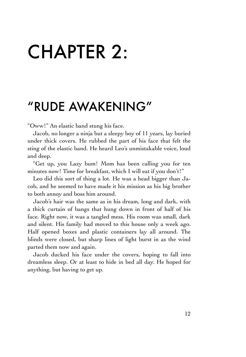# CHAPTER 2:

### "RUDE AWAKENING"

"Oww!" An elastic band stung his face.

Jacob, no longer a ninja but a sleepy boy of 11 years, lay buried under thick covers. He rubbed the part of his face that felt the sting of the elastic band. He heard Leo's unmistakable voice, loud and deep.

"Get up, you Lazy bum! Mom has been calling you for ten minutes now! Time for breakfast, which I will eat if you don't!"

Leo did this sort of thing a lot. He was a head bigger than Jacob, and he seemed to have made it his mission as his big brother to both annoy and boss him around.

Jacob's hair was the same as in his dream, long and dark, with a thick curtain of bangs that hung down in front of half of his face. Right now, it was a tangled mess. His room was small, dark and silent. His family had moved to this house only a week ago. Half opened boxes and plastic containers lay all around. The blinds were closed, but sharp lines of light burst in as the wind parted them now and again.

Jacob ducked his face under the covers, hoping to fall into dreamless sleep. Or at least to hide in bed all day. He hoped for anything, but having to get up.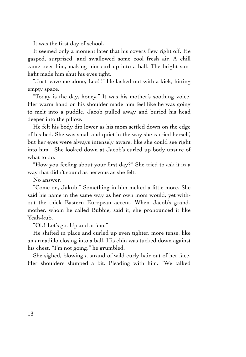It was the first day of school.

It seemed only a moment later that his covers flew right off. He gasped, surprised, and swallowed some cool fresh air. A chill came over him, making him curl up into a ball. The bright sunlight made him shut his eyes tight.

"Just leave me alone, Leo!!" He lashed out with a kick, hitting empty space.

"Today is the day, honey." It was his mother's soothing voice. Her warm hand on his shoulder made him feel like he was going to melt into a puddle. Jacob pulled away and buried his head deeper into the pillow.

He felt his body dip lower as his mom settled down on the edge of his bed. She was small and quiet in the way she carried herself, but her eyes were always intensely aware, like she could see right into him. She looked down at Jacob's curled up body unsure of what to do.

"How you feeling about your first day?" She tried to ask it in a way that didn't sound as nervous as she felt.

No answer.

"Come on, Jakub." Something in him melted a little more. She said his name in the same way as her own mom would, yet without the thick Eastern European accent. When Jacob's grandmother, whom he called Bubbie, said it, she pronounced it like Yeah-kub.

"Ok! Let's go. Up and at 'em."

He shifted in place and curled up even tighter, more tense, like an armadillo closing into a ball. His chin was tucked down against his chest. "I'm not going," he grumbled.

She sighed, blowing a strand of wild curly hair out of her face. Her shoulders slumped a bit. Pleading with him. "We talked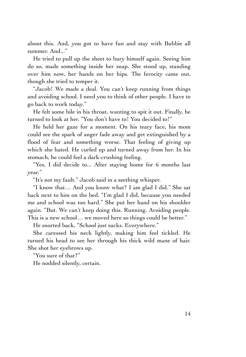about this. And, you got to have fun and stay with Bubbie all summer. And..."

He tried to pull up the sheet to bury himself again. Seeing him do so, made something inside her snap. She stood up, standing over him now, her hands on her hips. The ferocity came out, though she tried to temper it.

"Jacob! We made a deal. You can't keep running from things and avoiding school. I need you to think of other people. I have to go back to work today."

He felt some bile in his throat, wanting to spit it out. Finally, he turned to look at her. "You don't have to! You decided to!"

He held her gaze for a moment. On his teary face, his mom could see the spark of anger fade away and get extinguished by a flood of fear and something worse. That feeling of giving up which she hated. He curled up and turned away from her. In his stomach, he could feel a dark-crushing feeling.

"Yes, I did decide to... After staying home for 6 months last year."

"It's not my fault." Jacob said in a seething whisper.

"I know that… And you know what? I am glad I did." She sat back next to him on the bed. "I'm glad I did, because you needed me and school was too hard." She put her hand on his shoulder again. "But. We can't keep doing this. Running. Avoiding people. This is a new school… we moved here so things could be better."

He snorted back, "School just sucks. Everywhere."

She caressed his neck lightly, making him feel tickled. He turned his head to see her through his thick wild mane of hair. She shot her eyebrows up.

"You sure of that?"

He nodded silently, certain.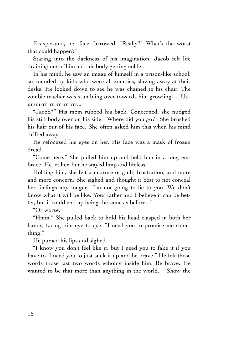Exasperated, her face furrowed. "Really?! What's the worst that could happen?"

Staring into the darkness of his imagination, Jacob felt life draining out of him and his body getting colder.

In his mind, he saw an image of himself in a prison-like school, surrounded by kids who were all zombies, slaving away at their desks. He looked down to see he was chained to his chair. The zombie teacher was stumbling over towards him growling…. Uuuuuurrrrrrrrrrrrrrrr...

"Jacob?" His mom rubbed his back. Concerned, she nudged his stiff body over on his side. "Where did you go?" She brushed his hair out of his face. She often asked him this when his mind drifted away.

He refocused his eyes on her. His face was a mask of frozen dread.

"Come here." She pulled him up and held him in a long embrace. He let her, but he stayed limp and lifeless.

Holding him, she felt a mixture of guilt, frustration, and more and more concern. She sighed and thought it best to not conceal her feelings any longer. "I'm not going to lie to you. We don't know what it will be like. Your father and I believe it can be better, but it could end up being the same as before..."

"Or worse."

"Hmm." She pulled back to hold his head clasped in both her hands, facing him eye to eye. "I need you to promise me something."

He pursed his lips and sighed.

"I know you don't feel like it, but I need you to fake it if you have to. I need you to just suck it up and be brave." He felt those words those last two words echoing inside him. Be brave. He wanted to be that more than anything in the world. "Show the